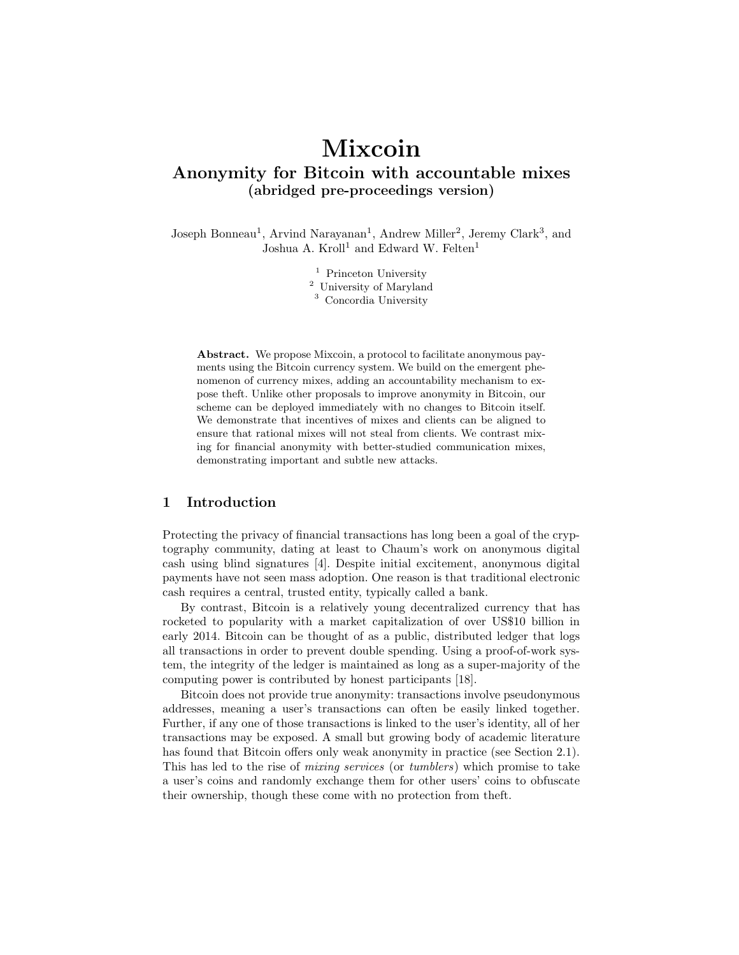# <span id="page-0-0"></span>Mixcoin Anonymity for Bitcoin with accountable mixes (abridged pre-proceedings version)

Joseph Bonneau<sup>1</sup>, Arvind Narayanan<sup>1</sup>, Andrew Miller<sup>2</sup>, Jeremy Clark<sup>3</sup>, and Joshua A. Kroll<sup>1</sup> and Edward W. Felten<sup>1</sup>

> <sup>1</sup> Princeton University <sup>2</sup> University of Maryland <sup>3</sup> Concordia University

Abstract. We propose Mixcoin, a protocol to facilitate anonymous payments using the Bitcoin currency system. We build on the emergent phenomenon of currency mixes, adding an accountability mechanism to expose theft. Unlike other proposals to improve anonymity in Bitcoin, our scheme can be deployed immediately with no changes to Bitcoin itself. We demonstrate that incentives of mixes and clients can be aligned to ensure that rational mixes will not steal from clients. We contrast mixing for financial anonymity with better-studied communication mixes, demonstrating important and subtle new attacks.

## 1 Introduction

Protecting the privacy of financial transactions has long been a goal of the cryptography community, dating at least to Chaum's work on anonymous digital cash using blind signatures [\[4\]](#page-15-0). Despite initial excitement, anonymous digital payments have not seen mass adoption. One reason is that traditional electronic cash requires a central, trusted entity, typically called a bank.

By contrast, Bitcoin is a relatively young decentralized currency that has rocketed to popularity with a market capitalization of over US\$10 billion in early 2014. Bitcoin can be thought of as a public, distributed ledger that logs all transactions in order to prevent double spending. Using a proof-of-work system, the integrity of the ledger is maintained as long as a super-majority of the computing power is contributed by honest participants [\[18\]](#page-15-1).

Bitcoin does not provide true anonymity: transactions involve pseudonymous addresses, meaning a user's transactions can often be easily linked together. Further, if any one of those transactions is linked to the user's identity, all of her transactions may be exposed. A small but growing body of academic literature has found that Bitcoin offers only weak anonymity in practice (see Section [2.1\)](#page-2-0). This has led to the rise of mixing services (or tumblers) which promise to take a user's coins and randomly exchange them for other users' coins to obfuscate their ownership, though these come with no protection from theft.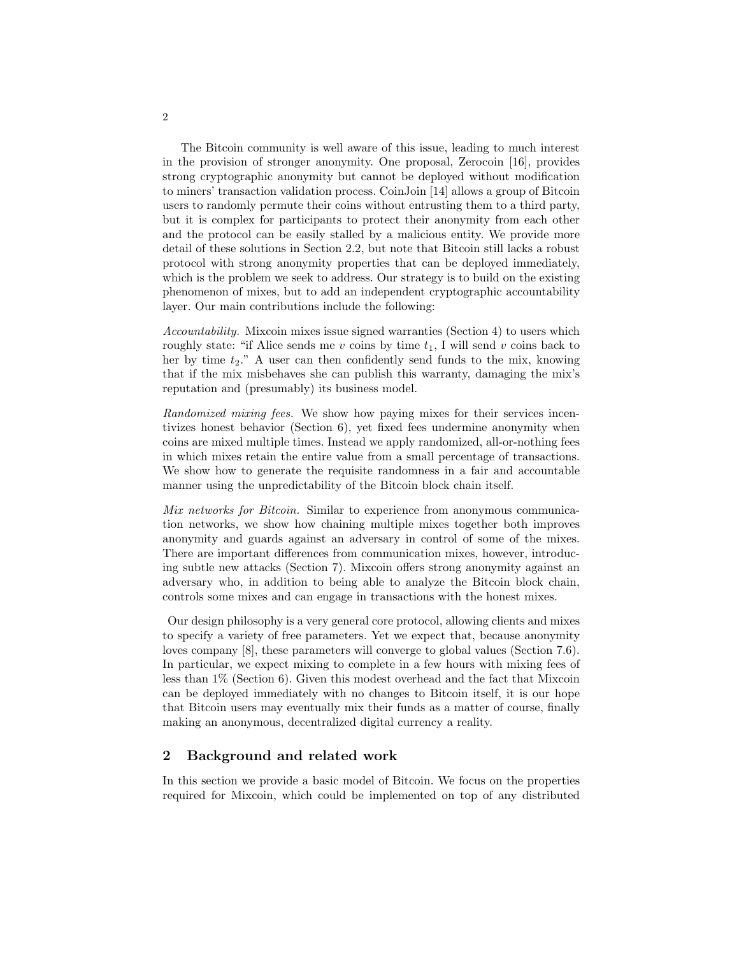The Bitcoin community is well aware of this issue, leading to much interest in the provision of stronger anonymity. One proposal, Zerocoin [\[16\]](#page-15-2), provides strong cryptographic anonymity but cannot be deployed without modification to miners' transaction validation process. CoinJoin [\[14\]](#page-15-3) allows a group of Bitcoin users to randomly permute their coins without entrusting them to a third party, but it is complex for participants to protect their anonymity from each other and the protocol can be easily stalled by a malicious entity. We provide more detail of these solutions in Section [2.2,](#page-2-1) but note that Bitcoin still lacks a robust protocol with strong anonymity properties that can be deployed immediately, which is the problem we seek to address. Our strategy is to build on the existing phenomenon of mixes, but to add an independent cryptographic accountability layer. Our main contributions include the following:

Accountability. Mixcoin mixes issue signed warranties (Section [4\)](#page-4-0) to users which roughly state: "if Alice sends me v coins by time  $t_1$ , I will send v coins back to her by time  $t_2$ ." A user can then confidently send funds to the mix, knowing that if the mix misbehaves she can publish this warranty, damaging the mix's reputation and (presumably) its business model.

Randomized mixing fees. We show how paying mixes for their services incentivizes honest behavior (Section [6\)](#page-9-0), yet fixed fees undermine anonymity when coins are mixed multiple times. Instead we apply randomized, all-or-nothing fees in which mixes retain the entire value from a small percentage of transactions. We show how to generate the requisite randomness in a fair and accountable manner using the unpredictability of the Bitcoin block chain itself.

Mix networks for Bitcoin. Similar to experience from anonymous communication networks, we show how chaining multiple mixes together both improves anonymity and guards against an adversary in control of some of the mixes. There are important differences from communication mixes, however, introducing subtle new attacks (Section [7\)](#page-10-0). Mixcoin offers strong anonymity against an adversary who, in addition to being able to analyze the Bitcoin block chain, controls some mixes and can engage in transactions with the honest mixes.

Our design philosophy is a very general core protocol, allowing clients and mixes to specify a variety of free parameters. Yet we expect that, because anonymity loves company [\[8\]](#page-15-4), these parameters will converge to global values (Section [7.6\)](#page-12-0). In particular, we expect mixing to complete in a few hours with mixing fees of less than 1% (Section [6\)](#page-9-0). Given this modest overhead and the fact that Mixcoin can be deployed immediately with no changes to Bitcoin itself, it is our hope that Bitcoin users may eventually mix their funds as a matter of course, finally making an anonymous, decentralized digital currency a reality.

# 2 Background and related work

In this section we provide a basic model of Bitcoin. We focus on the properties required for Mixcoin, which could be implemented on top of any distributed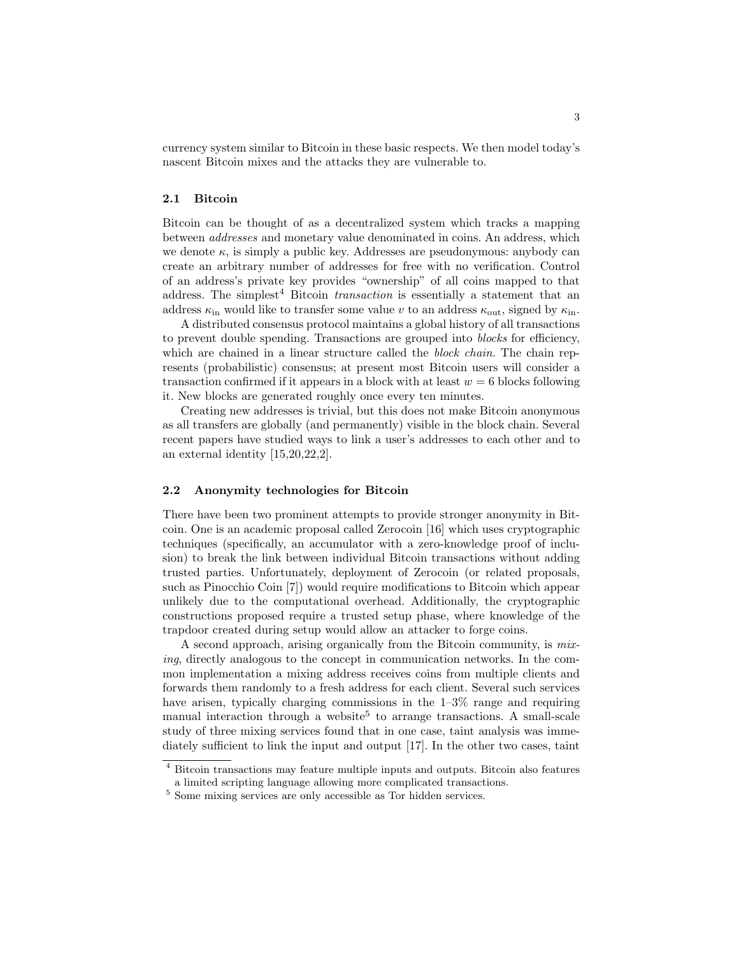currency system similar to Bitcoin in these basic respects. We then model today's nascent Bitcoin mixes and the attacks they are vulnerable to.

## <span id="page-2-0"></span>2.1 Bitcoin

Bitcoin can be thought of as a decentralized system which tracks a mapping between addresses and monetary value denominated in coins. An address, which we denote  $\kappa$ , is simply a public key. Addresses are pseudonymous: anybody can create an arbitrary number of addresses for free with no verification. Control of an address's private key provides "ownership" of all coins mapped to that address. The simplest<sup>[4](#page-2-2)</sup> Bitcoin *transaction* is essentially a statement that an address  $\kappa_{\rm in}$  would like to transfer some value v to an address  $\kappa_{\rm out}$ , signed by  $\kappa_{\rm in}$ .

A distributed consensus protocol maintains a global history of all transactions to prevent double spending. Transactions are grouped into blocks for efficiency, which are chained in a linear structure called the *block chain*. The chain represents (probabilistic) consensus; at present most Bitcoin users will consider a transaction confirmed if it appears in a block with at least  $w = 6$  blocks following it. New blocks are generated roughly once every ten minutes.

Creating new addresses is trivial, but this does not make Bitcoin anonymous as all transfers are globally (and permanently) visible in the block chain. Several recent papers have studied ways to link a user's addresses to each other and to an external identity [\[15,](#page-15-5)[20](#page-15-6)[,22,](#page-15-7)[2\]](#page-15-8).

## <span id="page-2-1"></span>2.2 Anonymity technologies for Bitcoin

There have been two prominent attempts to provide stronger anonymity in Bitcoin. One is an academic proposal called Zerocoin [\[16\]](#page-15-2) which uses cryptographic techniques (specifically, an accumulator with a zero-knowledge proof of inclusion) to break the link between individual Bitcoin transactions without adding trusted parties. Unfortunately, deployment of Zerocoin (or related proposals, such as Pinocchio Coin [\[7\]](#page-15-9)) would require modifications to Bitcoin which appear unlikely due to the computational overhead. Additionally, the cryptographic constructions proposed require a trusted setup phase, where knowledge of the trapdoor created during setup would allow an attacker to forge coins.

A second approach, arising organically from the Bitcoin community, is mixing, directly analogous to the concept in communication networks. In the common implementation a mixing address receives coins from multiple clients and forwards them randomly to a fresh address for each client. Several such services have arisen, typically charging commissions in the  $1-3\%$  range and requiring manual interaction through a website<sup>[5](#page-2-3)</sup> to arrange transactions. A small-scale study of three mixing services found that in one case, taint analysis was immediately sufficient to link the input and output [\[17\]](#page-15-10). In the other two cases, taint

<span id="page-2-2"></span><sup>4</sup> Bitcoin transactions may feature multiple inputs and outputs. Bitcoin also features a limited scripting language allowing more complicated transactions.

<span id="page-2-3"></span><sup>5</sup> Some mixing services are only accessible as Tor hidden services.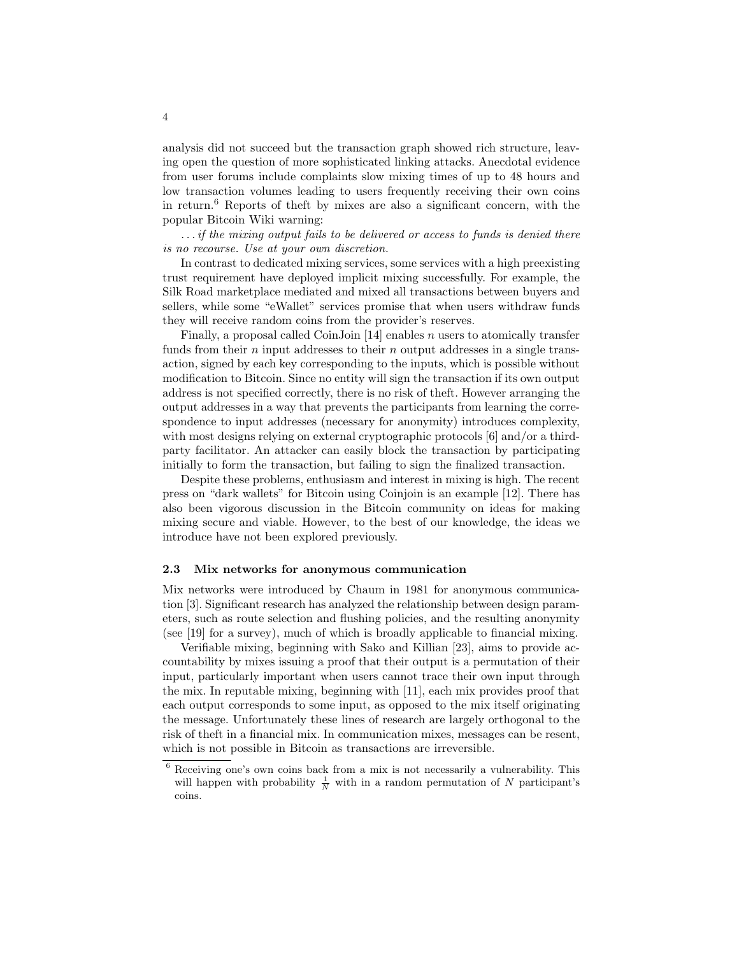analysis did not succeed but the transaction graph showed rich structure, leaving open the question of more sophisticated linking attacks. Anecdotal evidence from user forums include complaints slow mixing times of up to 48 hours and low transaction volumes leading to users frequently receiving their own coins in return.<sup>[6](#page-3-0)</sup> Reports of theft by mixes are also a significant concern, with the popular Bitcoin Wiki warning:

. . . if the mixing output fails to be delivered or access to funds is denied there is no recourse. Use at your own discretion.

In contrast to dedicated mixing services, some services with a high preexisting trust requirement have deployed implicit mixing successfully. For example, the Silk Road marketplace mediated and mixed all transactions between buyers and sellers, while some "eWallet" services promise that when users withdraw funds they will receive random coins from the provider's reserves.

Finally, a proposal called CoinJoin [\[14\]](#page-15-3) enables n users to atomically transfer funds from their  $n$  input addresses to their  $n$  output addresses in a single transaction, signed by each key corresponding to the inputs, which is possible without modification to Bitcoin. Since no entity will sign the transaction if its own output address is not specified correctly, there is no risk of theft. However arranging the output addresses in a way that prevents the participants from learning the correspondence to input addresses (necessary for anonymity) introduces complexity, with most designs relying on external cryptographic protocols [\[6\]](#page-15-11) and/or a thirdparty facilitator. An attacker can easily block the transaction by participating initially to form the transaction, but failing to sign the finalized transaction.

Despite these problems, enthusiasm and interest in mixing is high. The recent press on "dark wallets" for Bitcoin using Coinjoin is an example [\[12\]](#page-15-12). There has also been vigorous discussion in the Bitcoin community on ideas for making mixing secure and viable. However, to the best of our knowledge, the ideas we introduce have not been explored previously.

### 2.3 Mix networks for anonymous communication

Mix networks were introduced by Chaum in 1981 for anonymous communication [\[3\]](#page-15-13). Significant research has analyzed the relationship between design parameters, such as route selection and flushing policies, and the resulting anonymity (see [\[19\]](#page-15-14) for a survey), much of which is broadly applicable to financial mixing.

Verifiable mixing, beginning with Sako and Killian [\[23\]](#page-15-15), aims to provide accountability by mixes issuing a proof that their output is a permutation of their input, particularly important when users cannot trace their own input through the mix. In reputable mixing, beginning with [\[11\]](#page-15-16), each mix provides proof that each output corresponds to some input, as opposed to the mix itself originating the message. Unfortunately these lines of research are largely orthogonal to the risk of theft in a financial mix. In communication mixes, messages can be resent, which is not possible in Bitcoin as transactions are irreversible.

<span id="page-3-0"></span> $^6$  Receiving one's own coins back from a mix is not necessarily a vulnerability. This will happen with probability  $\frac{1}{N}$  with in a random permutation of N participant's coins.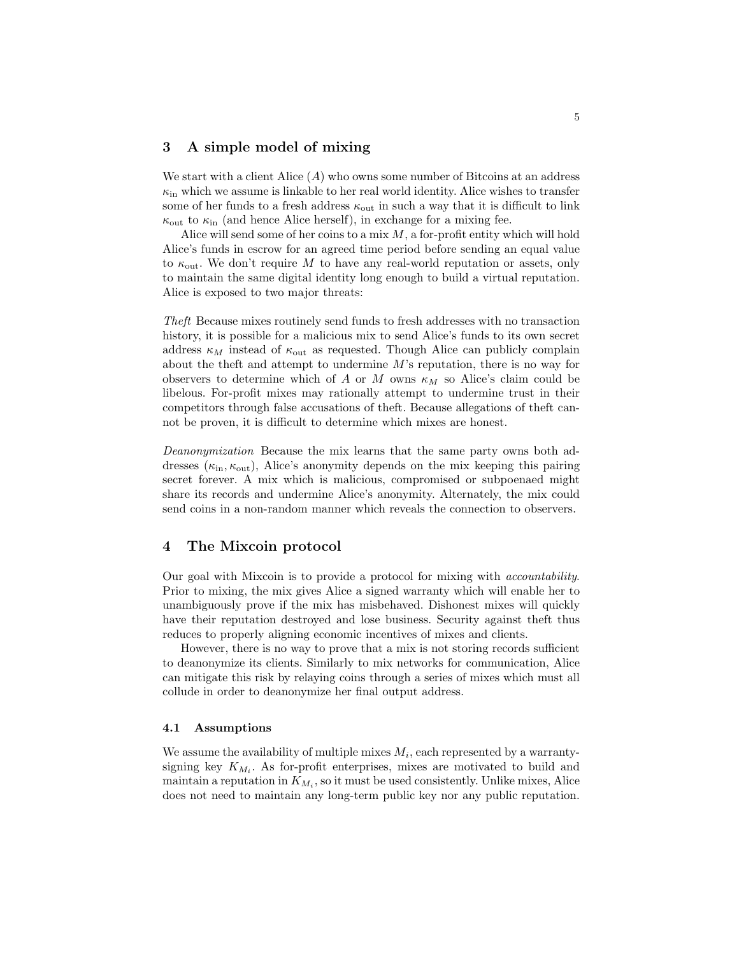## 3 A simple model of mixing

We start with a client Alice  $(A)$  who owns some number of Bitcoins at an address  $\kappa$ <sub>in</sub> which we assume is linkable to her real world identity. Alice wishes to transfer some of her funds to a fresh address  $\kappa_{\text{out}}$  in such a way that it is difficult to link  $\kappa_{\text{out}}$  to  $\kappa_{\text{in}}$  (and hence Alice herself), in exchange for a mixing fee.

Alice will send some of her coins to a mix  $M$ , a for-profit entity which will hold Alice's funds in escrow for an agreed time period before sending an equal value to  $\kappa_{\text{out}}$ . We don't require M to have any real-world reputation or assets, only to maintain the same digital identity long enough to build a virtual reputation. Alice is exposed to two major threats:

Theft Because mixes routinely send funds to fresh addresses with no transaction history, it is possible for a malicious mix to send Alice's funds to its own secret address  $\kappa_M$  instead of  $\kappa_{\text{out}}$  as requested. Though Alice can publicly complain about the theft and attempt to undermine M's reputation, there is no way for observers to determine which of A or M owns  $\kappa_M$  so Alice's claim could be libelous. For-profit mixes may rationally attempt to undermine trust in their competitors through false accusations of theft. Because allegations of theft cannot be proven, it is difficult to determine which mixes are honest.

Deanonymization Because the mix learns that the same party owns both addresses  $(\kappa_{\rm in}, \kappa_{\rm out})$ , Alice's anonymity depends on the mix keeping this pairing secret forever. A mix which is malicious, compromised or subpoenaed might share its records and undermine Alice's anonymity. Alternately, the mix could send coins in a non-random manner which reveals the connection to observers.

## <span id="page-4-0"></span>4 The Mixcoin protocol

Our goal with Mixcoin is to provide a protocol for mixing with accountability. Prior to mixing, the mix gives Alice a signed warranty which will enable her to unambiguously prove if the mix has misbehaved. Dishonest mixes will quickly have their reputation destroyed and lose business. Security against theft thus reduces to properly aligning economic incentives of mixes and clients.

However, there is no way to prove that a mix is not storing records sufficient to deanonymize its clients. Similarly to mix networks for communication, Alice can mitigate this risk by relaying coins through a series of mixes which must all collude in order to deanonymize her final output address.

#### 4.1 Assumptions

We assume the availability of multiple mixes  $M_i$ , each represented by a warrantysigning key  $K_{M_i}$ . As for-profit enterprises, mixes are motivated to build and maintain a reputation in  $K_{M_i}$ , so it must be used consistently. Unlike mixes, Alice does not need to maintain any long-term public key nor any public reputation.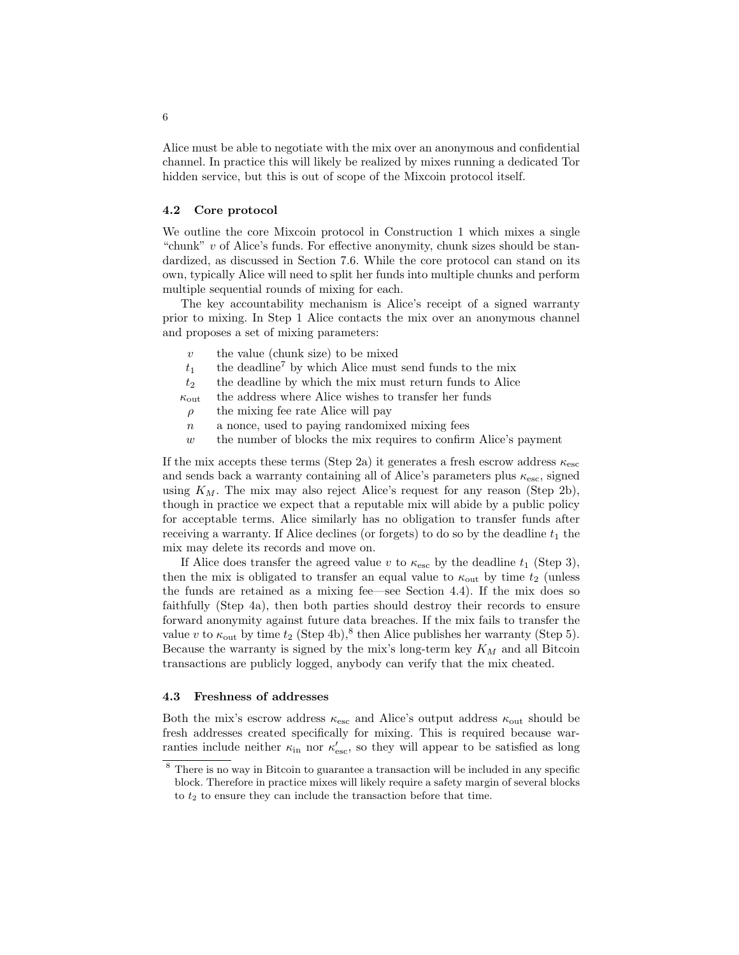Alice must be able to negotiate with the mix over an anonymous and confidential channel. In practice this will likely be realized by mixes running a dedicated Tor hidden service, but this is out of scope of the Mixcoin protocol itself.

#### 4.2 Core protocol

We outline the core Mixcoin protocol in Construction [1](#page-6-0) which mixes a single "chunk" v of Alice's funds. For effective anonymity, chunk sizes should be standardized, as discussed in Section [7.6.](#page-12-0) While the core protocol can stand on its own, typically Alice will need to split her funds into multiple chunks and perform multiple sequential rounds of mixing for each.

The key accountability mechanism is Alice's receipt of a signed warranty prior to mixing. In Step 1 Alice contacts the mix over an anonymous channel and proposes a set of mixing parameters:

- $v$  the value (chunk size) to be mixed
- $t_1$  the deadline<sup>[7](#page-0-0)</sup> by which Alice must send funds to the mix
- $t_2$  the deadline by which the mix must return funds to Alice
- $\kappa_{\text{out}}$  the address where Alice wishes to transfer her funds
- $\rho$  the mixing fee rate Alice will pay
- $n$  a nonce, used to paying randomixed mixing fees
- $w$  the number of blocks the mix requires to confirm Alice's payment

If the mix accepts these terms (Step 2a) it generates a fresh escrow address  $\kappa_{\rm esc}$ and sends back a warranty containing all of Alice's parameters plus  $\kappa_{\rm esc}$ , signed using  $K_M$ . The mix may also reject Alice's request for any reason (Step 2b), though in practice we expect that a reputable mix will abide by a public policy for acceptable terms. Alice similarly has no obligation to transfer funds after receiving a warranty. If Alice declines (or forgets) to do so by the deadline  $t_1$  the mix may delete its records and move on.

If Alice does transfer the agreed value v to  $\kappa_{\rm esc}$  by the deadline  $t_1$  (Step 3), then the mix is obligated to transfer an equal value to  $\kappa_{\text{out}}$  by time  $t_2$  (unless the funds are retained as a mixing fee—see Section [4.4\)](#page-7-0). If the mix does so faithfully (Step 4a), then both parties should destroy their records to ensure forward anonymity against future data breaches. If the mix fails to transfer the value v to  $\kappa_{\text{out}}$  by time  $t_2$  (Step 4b),<sup>[8](#page-5-0)</sup> then Alice publishes her warranty (Step 5). Because the warranty is signed by the mix's long-term key  $K_M$  and all Bitcoin transactions are publicly logged, anybody can verify that the mix cheated.

#### 4.3 Freshness of addresses

Both the mix's escrow address  $\kappa_{\rm esc}$  and Alice's output address  $\kappa_{\rm out}$  should be fresh addresses created specifically for mixing. This is required because warranties include neither  $\kappa_{\rm in}$  nor  $\kappa'_{\rm esc}$ , so they will appear to be satisfied as long

<span id="page-5-0"></span> $8$  There is no way in Bitcoin to guarantee a transaction will be included in any specific block. Therefore in practice mixes will likely require a safety margin of several blocks to  $t_2$  to ensure they can include the transaction before that time.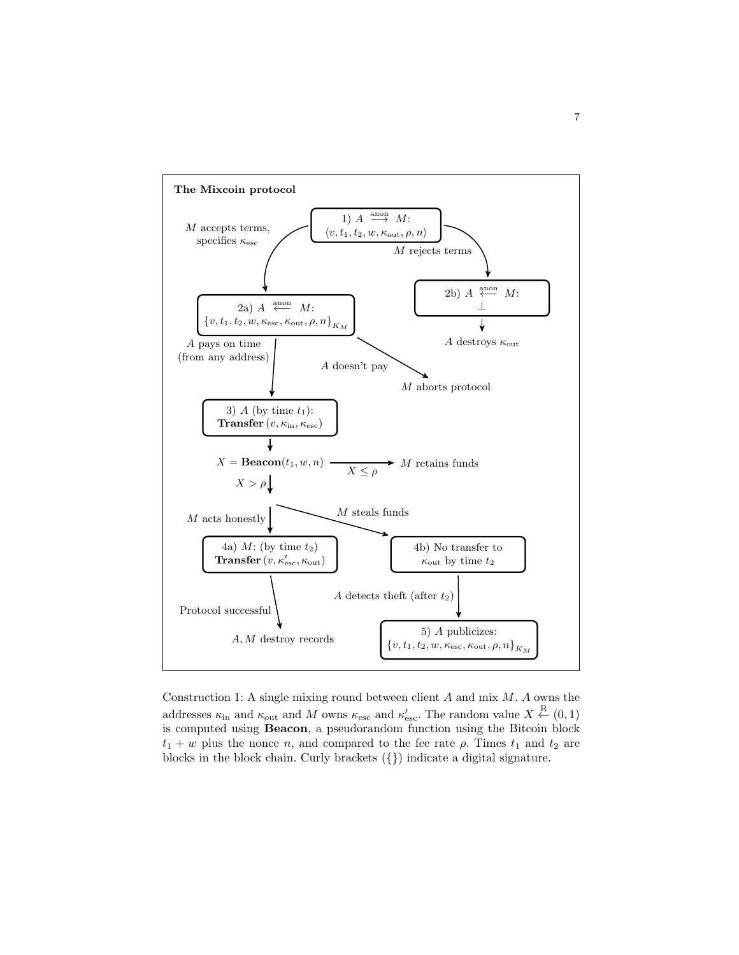

<span id="page-6-0"></span>Construction 1: A single mixing round between client  $A$  and mix  $M$ .  $A$  owns the addresses  $\kappa_{\text{in}}$  and  $\kappa_{\text{out}}$  and  $M$  owns  $\kappa_{\text{esc}}$  and  $\kappa'_{\text{esc}}$ . The random value  $X \stackrel{\text{R}}{\leftarrow} (0,1)$ is computed using Beacon, a pseudorandom function using the Bitcoin block  $t_1 + w$  plus the nonce n, and compared to the fee rate  $\rho$ . Times  $t_1$  and  $t_2$  are blocks in the block chain. Curly brackets  $({})$  indicate a digital signature.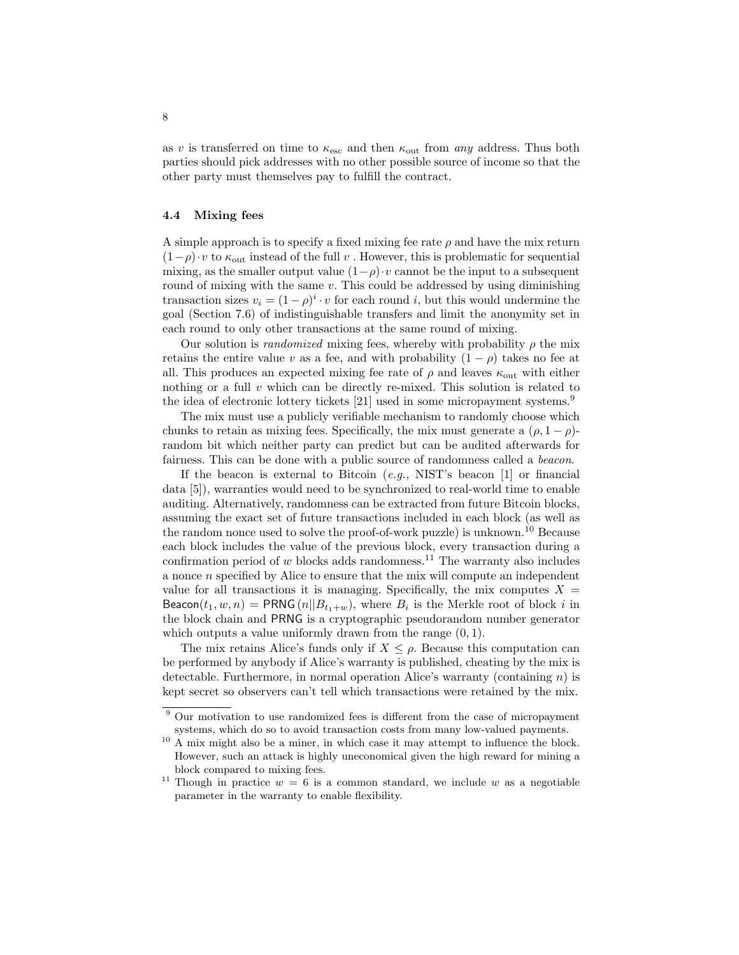as v is transferred on time to  $\kappa_{\rm esc}$  and then  $\kappa_{\rm out}$  from any address. Thus both parties should pick addresses with no other possible source of income so that the other party must themselves pay to fulfill the contract.

#### <span id="page-7-0"></span>4.4 Mixing fees

A simple approach is to specify a fixed mixing fee rate  $\rho$  and have the mix return  $(1-\rho)\cdot v$  to  $\kappa_{\text{out}}$  instead of the full v. However, this is problematic for sequential mixing, as the smaller output value  $(1-\rho)\cdot v$  cannot be the input to a subsequent round of mixing with the same  $v$ . This could be addressed by using diminishing transaction sizes  $v_i = (1 - \rho)^i \cdot v$  for each round i, but this would undermine the goal (Section [7.6\)](#page-12-0) of indistinguishable transfers and limit the anonymity set in each round to only other transactions at the same round of mixing.

Our solution is *randomized* mixing fees, whereby with probability  $\rho$  the mix retains the entire value v as a fee, and with probability  $(1 - \rho)$  takes no fee at all. This produces an expected mixing fee rate of  $\rho$  and leaves  $\kappa_{\text{out}}$  with either nothing or a full  $v$  which can be directly re-mixed. This solution is related to the idea of electronic lottery tickets [\[21\]](#page-15-17) used in some micropayment systems.<sup>[9](#page-7-1)</sup>

The mix must use a publicly verifiable mechanism to randomly choose which chunks to retain as mixing fees. Specifically, the mix must generate a  $(\rho, 1 - \rho)$ random bit which neither party can predict but can be audited afterwards for fairness. This can be done with a public source of randomness called a beacon.

If the beacon is external to Bitcoin  $(e,q, \text{NIST's}$  beacon [\[1\]](#page-15-18) or financial data [\[5\]](#page-15-19)), warranties would need to be synchronized to real-world time to enable auditing. Alternatively, randomness can be extracted from future Bitcoin blocks, assuming the exact set of future transactions included in each block (as well as the random nonce used to solve the proof-of-work puzzle) is unknown.<sup>[10](#page-7-2)</sup> Because each block includes the value of the previous block, every transaction during a confirmation period of  $w$  blocks adds randomness.<sup>[11](#page-7-3)</sup> The warranty also includes a nonce n specified by Alice to ensure that the mix will compute an independent value for all transactions it is managing. Specifically, the mix computes  $X =$ Beacon $(t_1, w, n)$  = PRNG  $(n||B_{t_1+w})$ , where  $B_i$  is the Merkle root of block *i* in the block chain and PRNG is a cryptographic pseudorandom number generator which outputs a value uniformly drawn from the range  $(0, 1)$ .

The mix retains Alice's funds only if  $X \leq \rho$ . Because this computation can be performed by anybody if Alice's warranty is published, cheating by the mix is detectable. Furthermore, in normal operation Alice's warranty (containing  $n$ ) is kept secret so observers can't tell which transactions were retained by the mix.

<span id="page-7-1"></span><sup>&</sup>lt;sup>9</sup> Our motivation to use randomized fees is different from the case of micropayment systems, which do so to avoid transaction costs from many low-valued payments.

<span id="page-7-2"></span> $10\,$  A mix might also be a miner, in which case it may attempt to influence the block. However, such an attack is highly uneconomical given the high reward for mining a block compared to mixing fees.

<span id="page-7-3"></span><sup>&</sup>lt;sup>11</sup> Though in practice  $w = 6$  is a common standard, we include w as a negotiable parameter in the warranty to enable flexibility.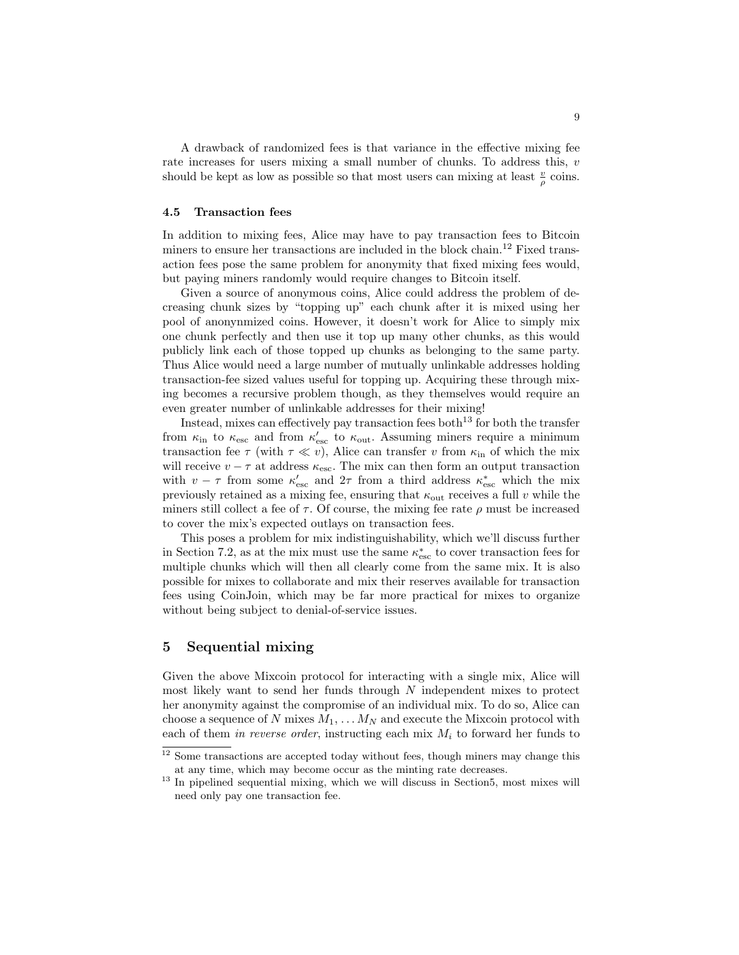A drawback of randomized fees is that variance in the effective mixing fee rate increases for users mixing a small number of chunks. To address this,  $v$ should be kept as low as possible so that most users can mixing at least  $\frac{v}{\rho}$  coins.

### 4.5 Transaction fees

In addition to mixing fees, Alice may have to pay transaction fees to Bitcoin miners to ensure her transactions are included in the block chain.<sup>[12](#page-8-0)</sup> Fixed transaction fees pose the same problem for anonymity that fixed mixing fees would, but paying miners randomly would require changes to Bitcoin itself.

Given a source of anonymous coins, Alice could address the problem of decreasing chunk sizes by "topping up" each chunk after it is mixed using her pool of anonynmized coins. However, it doesn't work for Alice to simply mix one chunk perfectly and then use it top up many other chunks, as this would publicly link each of those topped up chunks as belonging to the same party. Thus Alice would need a large number of mutually unlinkable addresses holding transaction-fee sized values useful for topping up. Acquiring these through mixing becomes a recursive problem though, as they themselves would require an even greater number of unlinkable addresses for their mixing!

Instead, mixes can effectively pay transaction fees both<sup>[13](#page-8-1)</sup> for both the transfer from  $\kappa_{\text{in}}$  to  $\kappa_{\text{esc}}$  and from  $\kappa_{\text{esc}}'$  to  $\kappa_{\text{out}}$ . Assuming miners require a minimum transaction fee  $\tau$  (with  $\tau \ll v$ ), Alice can transfer v from  $\kappa_{\rm in}$  of which the mix will receive  $v - \tau$  at address  $\kappa_{\text{esc}}$ . The mix can then form an output transaction with  $v - \tau$  from some  $\kappa'_{\rm esc}$  and  $2\tau$  from a third address  $\kappa^*_{\rm esc}$  which the mix previously retained as a mixing fee, ensuring that  $\kappa_{\text{out}}$  receives a full v while the miners still collect a fee of  $\tau$ . Of course, the mixing fee rate  $\rho$  must be increased to cover the mix's expected outlays on transaction fees.

This poses a problem for mix indistinguishability, which we'll discuss further in Section [7.2,](#page-11-0) as at the mix must use the same  $\kappa_{\rm esc}^*$  to cover transaction fees for multiple chunks which will then all clearly come from the same mix. It is also possible for mixes to collaborate and mix their reserves available for transaction fees using CoinJoin, which may be far more practical for mixes to organize without being subject to denial-of-service issues.

## <span id="page-8-2"></span>5 Sequential mixing

Given the above Mixcoin protocol for interacting with a single mix, Alice will most likely want to send her funds through  $N$  independent mixes to protect her anonymity against the compromise of an individual mix. To do so, Alice can choose a sequence of N mixes  $M_1, \ldots, M_N$  and execute the Mixcoin protocol with each of them in reverse order, instructing each mix  $M_i$  to forward her funds to

<span id="page-8-0"></span><sup>&</sup>lt;sup>12</sup> Some transactions are accepted today without fees, though miners may change this at any time, which may become occur as the minting rate decreases.

<span id="page-8-1"></span> $13$  In pipelined sequential mixing, which we will discuss in Sectio[n5,](#page-8-2) most mixes will need only pay one transaction fee.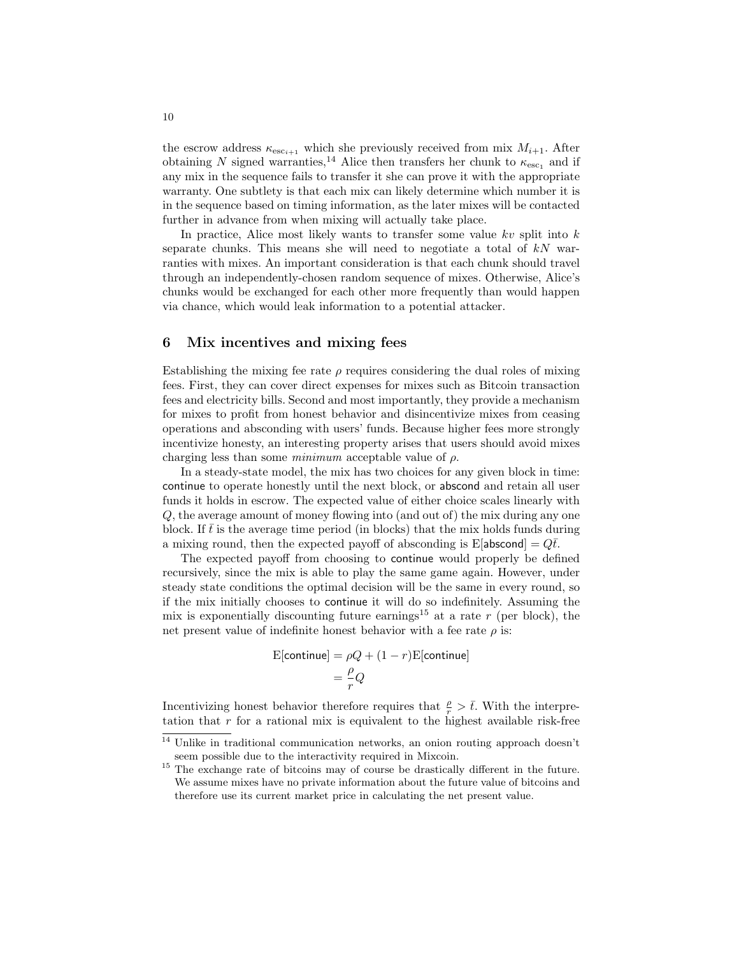the escrow address  $\kappa_{\text{esc}_{i+1}}$  which she previously received from mix  $M_{i+1}$ . After obtaining N signed warranties,<sup>[14](#page-9-1)</sup> Alice then transfers her chunk to  $\kappa_{\rm esc_1}$  and if any mix in the sequence fails to transfer it she can prove it with the appropriate warranty. One subtlety is that each mix can likely determine which number it is in the sequence based on timing information, as the later mixes will be contacted further in advance from when mixing will actually take place.

In practice, Alice most likely wants to transfer some value kv split into k separate chunks. This means she will need to negotiate a total of  $kN$  warranties with mixes. An important consideration is that each chunk should travel through an independently-chosen random sequence of mixes. Otherwise, Alice's chunks would be exchanged for each other more frequently than would happen via chance, which would leak information to a potential attacker.

## <span id="page-9-0"></span>6 Mix incentives and mixing fees

Establishing the mixing fee rate  $\rho$  requires considering the dual roles of mixing fees. First, they can cover direct expenses for mixes such as Bitcoin transaction fees and electricity bills. Second and most importantly, they provide a mechanism for mixes to profit from honest behavior and disincentivize mixes from ceasing operations and absconding with users' funds. Because higher fees more strongly incentivize honesty, an interesting property arises that users should avoid mixes charging less than some *minimum* acceptable value of  $\rho$ .

In a steady-state model, the mix has two choices for any given block in time: continue to operate honestly until the next block, or abscond and retain all user funds it holds in escrow. The expected value of either choice scales linearly with Q, the average amount of money flowing into (and out of) the mix during any one block. If  $\bar{t}$  is the average time period (in blocks) that the mix holds funds during a mixing round, then the expected payoff of absconding is  $E[$ abscond $] = Q\bar{t}$ .

The expected payoff from choosing to continue would properly be defined recursively, since the mix is able to play the same game again. However, under steady state conditions the optimal decision will be the same in every round, so if the mix initially chooses to continue it will do so indefinitely. Assuming the mix is exponentially discounting future earnings<sup>[15](#page-9-2)</sup> at a rate r (per block), the net present value of indefinite honest behavior with a fee rate  $\rho$  is:

$$
E[continue] = \rho Q + (1 - r)E[continue]
$$

$$
= \frac{\rho}{r}Q
$$

Incentivizing honest behavior therefore requires that  $\frac{\rho}{r} > \bar{t}$ . With the interpretation that  $r$  for a rational mix is equivalent to the highest available risk-free

<span id="page-9-1"></span> $14$  Unlike in traditional communication networks, an onion routing approach doesn't seem possible due to the interactivity required in Mixcoin.

<span id="page-9-2"></span><sup>&</sup>lt;sup>15</sup> The exchange rate of bitcoins may of course be drastically different in the future. We assume mixes have no private information about the future value of bitcoins and therefore use its current market price in calculating the net present value.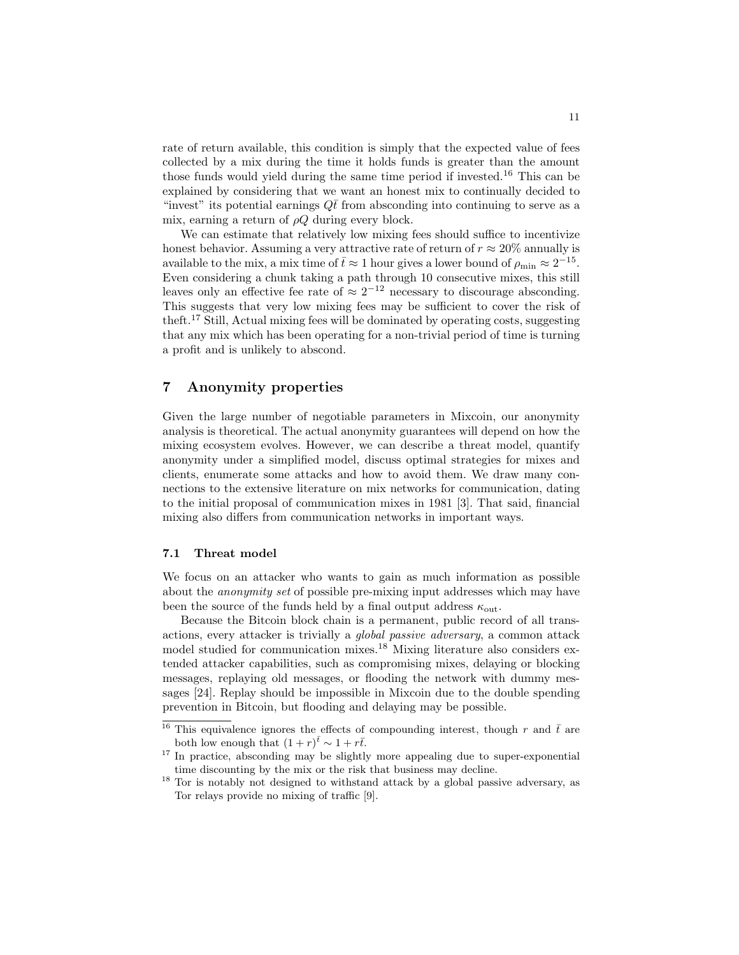rate of return available, this condition is simply that the expected value of fees collected by a mix during the time it holds funds is greater than the amount those funds would yield during the same time period if invested.[16](#page-10-1) This can be explained by considering that we want an honest mix to continually decided to "invest" its potential earnings  $Q\bar{t}$  from absconding into continuing to serve as a mix, earning a return of  $\rho Q$  during every block.

We can estimate that relatively low mixing fees should suffice to incentivize honest behavior. Assuming a very attractive rate of return of  $r \approx 20\%$  annually is available to the mix, a mix time of  $\bar{t} \approx 1$  hour gives a lower bound of  $\rho_{\min} \approx 2^{-15}$ . Even considering a chunk taking a path through 10 consecutive mixes, this still leaves only an effective fee rate of  $\approx 2^{-12}$  necessary to discourage absconding. This suggests that very low mixing fees may be sufficient to cover the risk of theft.[17](#page-10-2) Still, Actual mixing fees will be dominated by operating costs, suggesting that any mix which has been operating for a non-trivial period of time is turning a profit and is unlikely to abscond.

# <span id="page-10-0"></span>7 Anonymity properties

Given the large number of negotiable parameters in Mixcoin, our anonymity analysis is theoretical. The actual anonymity guarantees will depend on how the mixing ecosystem evolves. However, we can describe a threat model, quantify anonymity under a simplified model, discuss optimal strategies for mixes and clients, enumerate some attacks and how to avoid them. We draw many connections to the extensive literature on mix networks for communication, dating to the initial proposal of communication mixes in 1981 [\[3\]](#page-15-13). That said, financial mixing also differs from communication networks in important ways.

#### 7.1 Threat model

We focus on an attacker who wants to gain as much information as possible about the anonymity set of possible pre-mixing input addresses which may have been the source of the funds held by a final output address  $\kappa_{\text{out}}$ .

Because the Bitcoin block chain is a permanent, public record of all transactions, every attacker is trivially a global passive adversary, a common attack model studied for communication mixes.<sup>[18](#page-10-3)</sup> Mixing literature also considers extended attacker capabilities, such as compromising mixes, delaying or blocking messages, replaying old messages, or flooding the network with dummy messages [\[24\]](#page-15-20). Replay should be impossible in Mixcoin due to the double spending prevention in Bitcoin, but flooding and delaying may be possible.

<span id="page-10-1"></span><sup>&</sup>lt;sup>16</sup> This equivalence ignores the effects of compounding interest, though r and  $\bar{t}$  are both low enough that  $(1+r)^{\bar{t}} \sim 1 + r\bar{t}$ .

<span id="page-10-2"></span> $17$  In practice, absconding may be slightly more appealing due to super-exponential time discounting by the mix or the risk that business may decline.

<span id="page-10-3"></span><sup>&</sup>lt;sup>18</sup> Tor is notably not designed to withstand attack by a global passive adversary, as Tor relays provide no mixing of traffic [\[9\]](#page-15-21).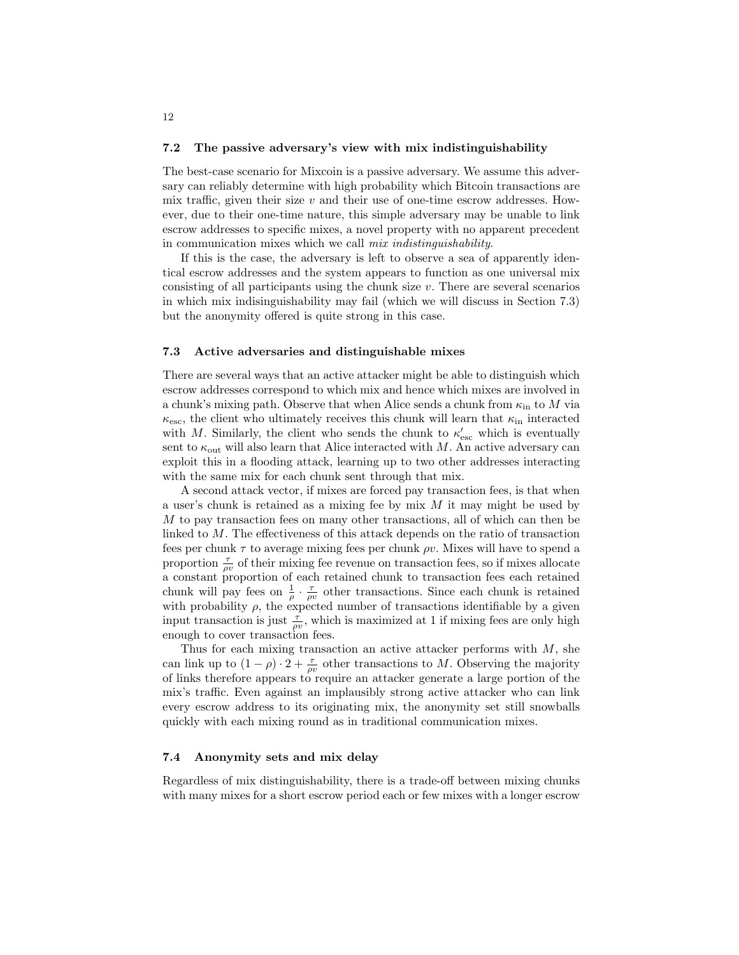#### <span id="page-11-0"></span>7.2 The passive adversary's view with mix indistinguishability

The best-case scenario for Mixcoin is a passive adversary. We assume this adversary can reliably determine with high probability which Bitcoin transactions are mix traffic, given their size  $v$  and their use of one-time escrow addresses. However, due to their one-time nature, this simple adversary may be unable to link escrow addresses to specific mixes, a novel property with no apparent precedent in communication mixes which we call mix indistinguishability.

If this is the case, the adversary is left to observe a sea of apparently identical escrow addresses and the system appears to function as one universal mix consisting of all participants using the chunk size  $v$ . There are several scenarios in which mix indisinguishability may fail (which we will discuss in Section [7.3\)](#page-11-1) but the anonymity offered is quite strong in this case.

#### <span id="page-11-1"></span>7.3 Active adversaries and distinguishable mixes

There are several ways that an active attacker might be able to distinguish which escrow addresses correspond to which mix and hence which mixes are involved in a chunk's mixing path. Observe that when Alice sends a chunk from  $\kappa_{\rm in}$  to M via  $\kappa_{\text{esc}}$ , the client who ultimately receives this chunk will learn that  $\kappa_{\text{in}}$  interacted with M. Similarly, the client who sends the chunk to  $\kappa'_{\rm esc}$  which is eventually sent to  $\kappa_{\text{out}}$  will also learn that Alice interacted with M. An active adversary can exploit this in a flooding attack, learning up to two other addresses interacting with the same mix for each chunk sent through that mix.

A second attack vector, if mixes are forced pay transaction fees, is that when a user's chunk is retained as a mixing fee by mix  $M$  it may might be used by M to pay transaction fees on many other transactions, all of which can then be linked to M. The effectiveness of this attack depends on the ratio of transaction fees per chunk  $\tau$  to average mixing fees per chunk  $\rho v$ . Mixes will have to spend a proportion  $\frac{\tau}{\rho v}$  of their mixing fee revenue on transaction fees, so if mixes allocate a constant proportion of each retained chunk to transaction fees each retained chunk will pay fees on  $\frac{1}{\rho} \cdot \frac{\tau}{\rho v}$  other transactions. Since each chunk is retained with probability  $\rho$ , the expected number of transactions identifiable by a given input transaction is just  $\frac{\tau}{\rho v}$ , which is maximized at 1 if mixing fees are only high enough to cover transaction fees.

Thus for each mixing transaction an active attacker performs with  $M$ , she can link up to  $(1 - \rho) \cdot 2 + \frac{\tau}{\rho v}$  other transactions to M. Observing the majority of links therefore appears to require an attacker generate a large portion of the mix's traffic. Even against an implausibly strong active attacker who can link every escrow address to its originating mix, the anonymity set still snowballs quickly with each mixing round as in traditional communication mixes.

#### 7.4 Anonymity sets and mix delay

Regardless of mix distinguishability, there is a trade-off between mixing chunks with many mixes for a short escrow period each or few mixes with a longer escrow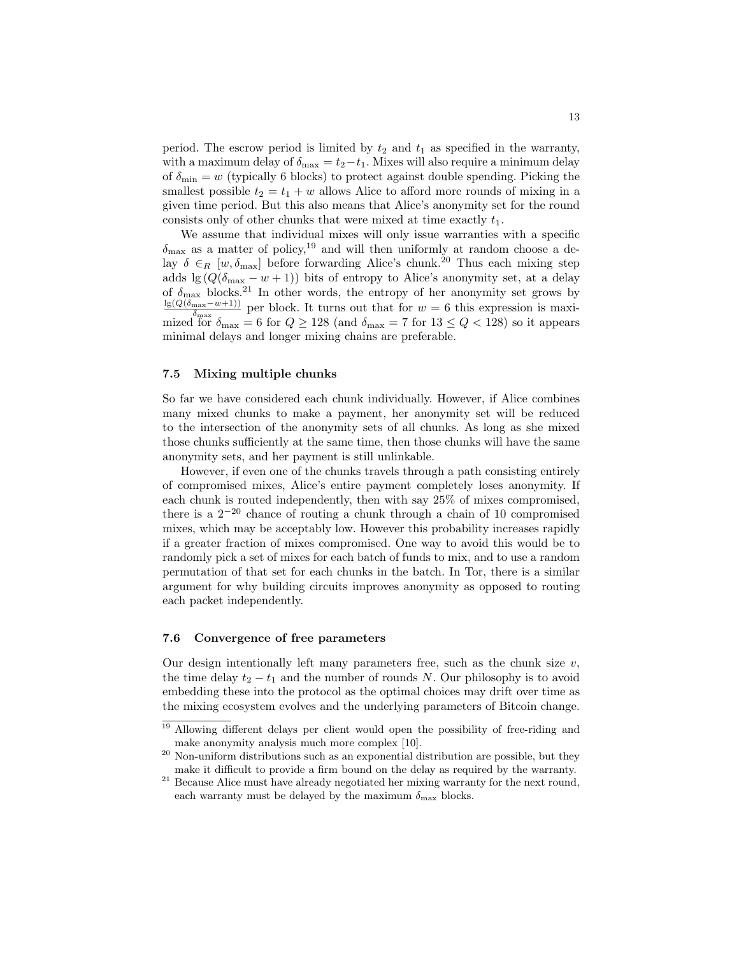period. The escrow period is limited by  $t_2$  and  $t_1$  as specified in the warranty, with a maximum delay of  $\delta_{\text{max}} = t_2 - t_1$ . Mixes will also require a minimum delay of  $\delta_{\min} = w$  (typically 6 blocks) to protect against double spending. Picking the smallest possible  $t_2 = t_1 + w$  allows Alice to afford more rounds of mixing in a given time period. But this also means that Alice's anonymity set for the round consists only of other chunks that were mixed at time exactly  $t_1$ .

We assume that individual mixes will only issue warranties with a specific  $\delta_{\text{max}}$  as a matter of policy,<sup>[19](#page-12-1)</sup> and will then uniformly at random choose a delay  $\delta \in_R [w, \delta_{\text{max}}]$  before forwarding Alice's chunk.<sup>[20](#page-12-2)</sup> Thus each mixing step adds lg  $(Q(\delta_{\text{max}} - w + 1))$  bits of entropy to Alice's anonymity set, at a delay of  $\delta_{\text{max}}$  blocks.<sup>[21](#page-12-3)</sup> In other words, the entropy of her anonymity set grows by  $lg(Q(\delta_{\text{max}}-w+1))$  $\frac{\frac{m\alpha x - w + 1}{m\alpha x}}{\frac{m\alpha x}{m\alpha x}}$  per block. It turns out that for  $w = 6$  this expression is maximized for  $\delta_{\text{max}} = 6$  for  $Q \ge 128$  (and  $\delta_{\text{max}} = 7$  for  $13 \le Q < 128$ ) so it appears minimal delays and longer mixing chains are preferable.

#### 7.5 Mixing multiple chunks

So far we have considered each chunk individually. However, if Alice combines many mixed chunks to make a payment, her anonymity set will be reduced to the intersection of the anonymity sets of all chunks. As long as she mixed those chunks sufficiently at the same time, then those chunks will have the same anonymity sets, and her payment is still unlinkable.

However, if even one of the chunks travels through a path consisting entirely of compromised mixes, Alice's entire payment completely loses anonymity. If each chunk is routed independently, then with say 25% of mixes compromised, there is a  $2^{-20}$  chance of routing a chunk through a chain of 10 compromised mixes, which may be acceptably low. However this probability increases rapidly if a greater fraction of mixes compromised. One way to avoid this would be to randomly pick a set of mixes for each batch of funds to mix, and to use a random permutation of that set for each chunks in the batch. In Tor, there is a similar argument for why building circuits improves anonymity as opposed to routing each packet independently.

## <span id="page-12-0"></span>7.6 Convergence of free parameters

Our design intentionally left many parameters free, such as the chunk size  $v$ , the time delay  $t_2 - t_1$  and the number of rounds N. Our philosophy is to avoid embedding these into the protocol as the optimal choices may drift over time as the mixing ecosystem evolves and the underlying parameters of Bitcoin change.

<span id="page-12-1"></span><sup>&</sup>lt;sup>19</sup> Allowing different delays per client would open the possibility of free-riding and make anonymity analysis much more complex [\[10\]](#page-15-22).

<span id="page-12-2"></span><sup>&</sup>lt;sup>20</sup> Non-uniform distributions such as an exponential distribution are possible, but they make it difficult to provide a firm bound on the delay as required by the warranty.

<span id="page-12-3"></span> $^{21}$  Because Alice must have already negotiated her mixing warranty for the next round, each warranty must be delayed by the maximum  $\delta_{\text{max}}$  blocks.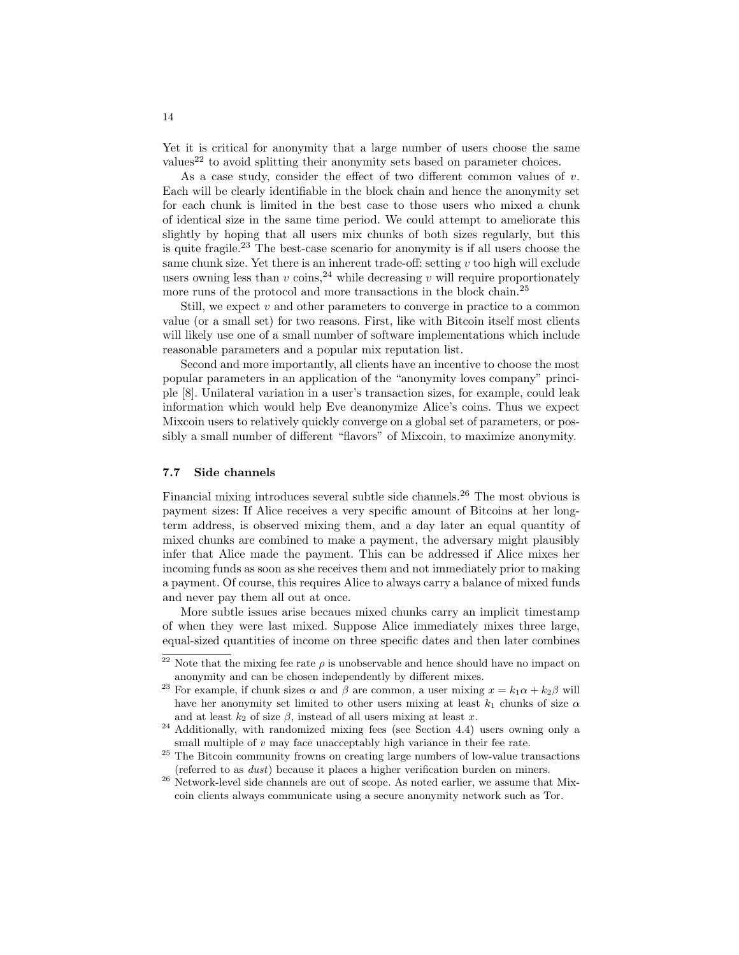Yet it is critical for anonymity that a large number of users choose the same values<sup>[22](#page-13-0)</sup> to avoid splitting their anonymity sets based on parameter choices.

As a case study, consider the effect of two different common values of  $v$ . Each will be clearly identifiable in the block chain and hence the anonymity set for each chunk is limited in the best case to those users who mixed a chunk of identical size in the same time period. We could attempt to ameliorate this slightly by hoping that all users mix chunks of both sizes regularly, but this is quite fragile.[23](#page-13-1) The best-case scenario for anonymity is if all users choose the same chunk size. Yet there is an inherent trade-off: setting  $v$  too high will exclude users owning less than v coins,  $^{24}$  $^{24}$  $^{24}$  while decreasing v will require proportionately more runs of the protocol and more transactions in the block chain.[25](#page-13-3)

Still, we expect  $v$  and other parameters to converge in practice to a common value (or a small set) for two reasons. First, like with Bitcoin itself most clients will likely use one of a small number of software implementations which include reasonable parameters and a popular mix reputation list.

Second and more importantly, all clients have an incentive to choose the most popular parameters in an application of the "anonymity loves company" principle [\[8\]](#page-15-4). Unilateral variation in a user's transaction sizes, for example, could leak information which would help Eve deanonymize Alice's coins. Thus we expect Mixcoin users to relatively quickly converge on a global set of parameters, or possibly a small number of different "flavors" of Mixcoin, to maximize anonymity.

## <span id="page-13-5"></span>7.7 Side channels

Financial mixing introduces several subtle side channels.<sup>[26](#page-13-4)</sup> The most obvious is payment sizes: If Alice receives a very specific amount of Bitcoins at her longterm address, is observed mixing them, and a day later an equal quantity of mixed chunks are combined to make a payment, the adversary might plausibly infer that Alice made the payment. This can be addressed if Alice mixes her incoming funds as soon as she receives them and not immediately prior to making a payment. Of course, this requires Alice to always carry a balance of mixed funds and never pay them all out at once.

More subtle issues arise becaues mixed chunks carry an implicit timestamp of when they were last mixed. Suppose Alice immediately mixes three large, equal-sized quantities of income on three specific dates and then later combines

<span id="page-13-0"></span> $22$  Note that the mixing fee rate  $\rho$  is unobservable and hence should have no impact on anonymity and can be chosen independently by different mixes.

<span id="page-13-1"></span><sup>&</sup>lt;sup>23</sup> For example, if chunk sizes  $\alpha$  and  $\beta$  are common, a user mixing  $x = k_1\alpha + k_2\beta$  will have her anonymity set limited to other users mixing at least  $k_1$  chunks of size  $\alpha$ and at least  $k_2$  of size  $\beta$ , instead of all users mixing at least x.

<span id="page-13-2"></span><sup>&</sup>lt;sup>24</sup> Additionally, with randomized mixing fees (see Section [4.4\)](#page-7-0) users owning only a small multiple of  $v$  may face unacceptably high variance in their fee rate.

<span id="page-13-3"></span><sup>&</sup>lt;sup>25</sup> The Bitcoin community frowns on creating large numbers of low-value transactions (referred to as dust) because it places a higher verification burden on miners.

<span id="page-13-4"></span><sup>&</sup>lt;sup>26</sup> Network-level side channels are out of scope. As noted earlier, we assume that Mixcoin clients always communicate using a secure anonymity network such as Tor.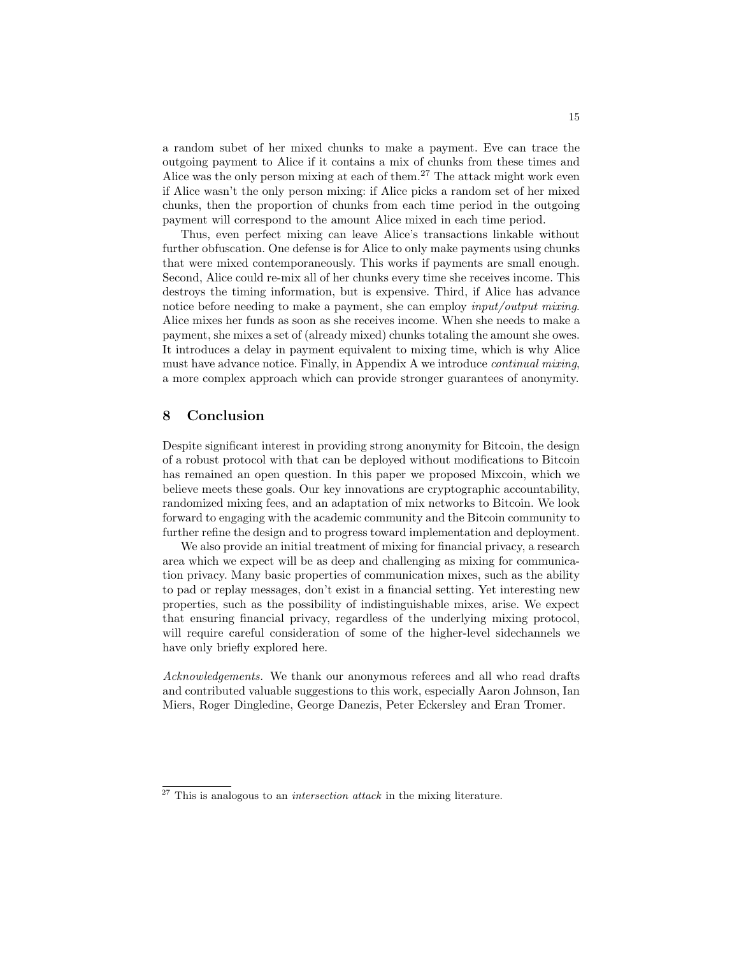a random subet of her mixed chunks to make a payment. Eve can trace the outgoing payment to Alice if it contains a mix of chunks from these times and Alice was the only person mixing at each of them.[27](#page-14-0) The attack might work even if Alice wasn't the only person mixing: if Alice picks a random set of her mixed chunks, then the proportion of chunks from each time period in the outgoing payment will correspond to the amount Alice mixed in each time period.

Thus, even perfect mixing can leave Alice's transactions linkable without further obfuscation. One defense is for Alice to only make payments using chunks that were mixed contemporaneously. This works if payments are small enough. Second, Alice could re-mix all of her chunks every time she receives income. This destroys the timing information, but is expensive. Third, if Alice has advance notice before needing to make a payment, she can employ *input/output mixing*. Alice mixes her funds as soon as she receives income. When she needs to make a payment, she mixes a set of (already mixed) chunks totaling the amount she owes. It introduces a delay in payment equivalent to mixing time, which is why Alice must have advance notice. Finally, in Appendix [A](#page-16-0) we introduce continual mixing, a more complex approach which can provide stronger guarantees of anonymity.

# 8 Conclusion

Despite significant interest in providing strong anonymity for Bitcoin, the design of a robust protocol with that can be deployed without modifications to Bitcoin has remained an open question. In this paper we proposed Mixcoin, which we believe meets these goals. Our key innovations are cryptographic accountability, randomized mixing fees, and an adaptation of mix networks to Bitcoin. We look forward to engaging with the academic community and the Bitcoin community to further refine the design and to progress toward implementation and deployment.

We also provide an initial treatment of mixing for financial privacy, a research area which we expect will be as deep and challenging as mixing for communication privacy. Many basic properties of communication mixes, such as the ability to pad or replay messages, don't exist in a financial setting. Yet interesting new properties, such as the possibility of indistinguishable mixes, arise. We expect that ensuring financial privacy, regardless of the underlying mixing protocol, will require careful consideration of some of the higher-level sidechannels we have only briefly explored here.

Acknowledgements. We thank our anonymous referees and all who read drafts and contributed valuable suggestions to this work, especially Aaron Johnson, Ian Miers, Roger Dingledine, George Danezis, Peter Eckersley and Eran Tromer.

<span id="page-14-0"></span> $27$  This is analogous to an *intersection attack* in the mixing literature.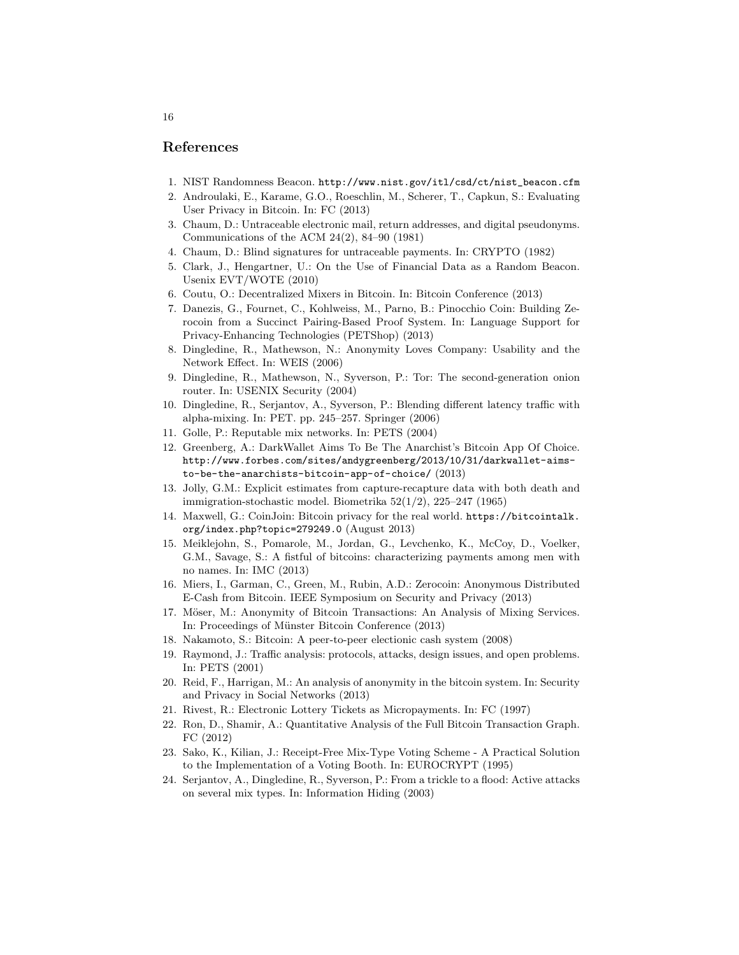## References

- <span id="page-15-18"></span>1. NIST Randomness Beacon. [http://www.nist.gov/itl/csd/ct/nist\\_beacon.cfm](http://www.nist.gov/itl/csd/ct/nist_beacon.cfm)
- <span id="page-15-8"></span>2. Androulaki, E., Karame, G.O., Roeschlin, M., Scherer, T., Capkun, S.: Evaluating User Privacy in Bitcoin. In: FC (2013)
- <span id="page-15-13"></span>3. Chaum, D.: Untraceable electronic mail, return addresses, and digital pseudonyms. Communications of the ACM 24(2), 84–90 (1981)
- <span id="page-15-0"></span>4. Chaum, D.: Blind signatures for untraceable payments. In: CRYPTO (1982)
- <span id="page-15-19"></span>5. Clark, J., Hengartner, U.: On the Use of Financial Data as a Random Beacon. Usenix EVT/WOTE (2010)
- <span id="page-15-11"></span>6. Coutu, O.: Decentralized Mixers in Bitcoin. In: Bitcoin Conference (2013)
- <span id="page-15-9"></span>7. Danezis, G., Fournet, C., Kohlweiss, M., Parno, B.: Pinocchio Coin: Building Zerocoin from a Succinct Pairing-Based Proof System. In: Language Support for Privacy-Enhancing Technologies (PETShop) (2013)
- <span id="page-15-4"></span>8. Dingledine, R., Mathewson, N.: Anonymity Loves Company: Usability and the Network Effect. In: WEIS (2006)
- <span id="page-15-21"></span>9. Dingledine, R., Mathewson, N., Syverson, P.: Tor: The second-generation onion router. In: USENIX Security (2004)
- <span id="page-15-22"></span>10. Dingledine, R., Serjantov, A., Syverson, P.: Blending different latency traffic with alpha-mixing. In: PET. pp. 245–257. Springer (2006)
- <span id="page-15-16"></span>11. Golle, P.: Reputable mix networks. In: PETS (2004)
- <span id="page-15-12"></span>12. Greenberg, A.: DarkWallet Aims To Be The Anarchist's Bitcoin App Of Choice. [http://www.forbes.com/sites/andygreenberg/2013/10/31/darkwallet-aims](http://www.forbes.com/sites/andygreenberg/2013/10/31/darkwallet-aims-to-be-the-anarchists-bitcoin-app-of-choice/)[to-be-the-anarchists-bitcoin-app-of-choice/](http://www.forbes.com/sites/andygreenberg/2013/10/31/darkwallet-aims-to-be-the-anarchists-bitcoin-app-of-choice/) (2013)
- <span id="page-15-23"></span>13. Jolly, G.M.: Explicit estimates from capture-recapture data with both death and immigration-stochastic model. Biometrika 52(1/2), 225–247 (1965)
- <span id="page-15-3"></span>14. Maxwell, G.: CoinJoin: Bitcoin privacy for the real world. [https://bitcointalk.](https://bitcointalk.org/index.php?topic=279249.0) [org/index.php?topic=279249.0](https://bitcointalk.org/index.php?topic=279249.0) (August 2013)
- <span id="page-15-5"></span>15. Meiklejohn, S., Pomarole, M., Jordan, G., Levchenko, K., McCoy, D., Voelker, G.M., Savage, S.: A fistful of bitcoins: characterizing payments among men with no names. In: IMC (2013)
- <span id="page-15-2"></span>16. Miers, I., Garman, C., Green, M., Rubin, A.D.: Zerocoin: Anonymous Distributed E-Cash from Bitcoin. IEEE Symposium on Security and Privacy (2013)
- <span id="page-15-10"></span>17. Möser, M.: Anonymity of Bitcoin Transactions: An Analysis of Mixing Services. In: Proceedings of Münster Bitcoin Conference (2013)
- <span id="page-15-1"></span>18. Nakamoto, S.: Bitcoin: A peer-to-peer electionic cash system (2008)
- <span id="page-15-14"></span>19. Raymond, J.: Traffic analysis: protocols, attacks, design issues, and open problems. In: PETS (2001)
- <span id="page-15-6"></span>20. Reid, F., Harrigan, M.: An analysis of anonymity in the bitcoin system. In: Security and Privacy in Social Networks (2013)
- <span id="page-15-17"></span>21. Rivest, R.: Electronic Lottery Tickets as Micropayments. In: FC (1997)
- <span id="page-15-7"></span>22. Ron, D., Shamir, A.: Quantitative Analysis of the Full Bitcoin Transaction Graph. FC (2012)
- <span id="page-15-15"></span>23. Sako, K., Kilian, J.: Receipt-Free Mix-Type Voting Scheme - A Practical Solution to the Implementation of a Voting Booth. In: EUROCRYPT (1995)
- <span id="page-15-20"></span>24. Serjantov, A., Dingledine, R., Syverson, P.: From a trickle to a flood: Active attacks on several mix types. In: Information Hiding (2003)

16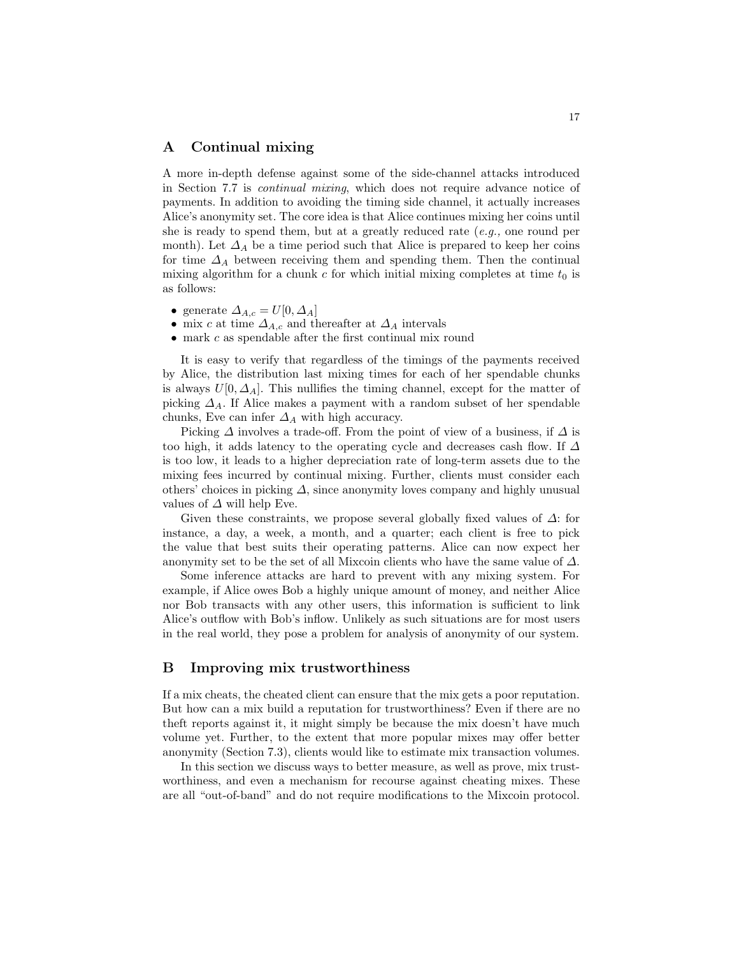# <span id="page-16-0"></span>A Continual mixing

A more in-depth defense against some of the side-channel attacks introduced in Section [7.7](#page-13-5) is continual mixing, which does not require advance notice of payments. In addition to avoiding the timing side channel, it actually increases Alice's anonymity set. The core idea is that Alice continues mixing her coins until she is ready to spend them, but at a greatly reduced rate  $(e.g.,)$  one round per month). Let  $\Delta_A$  be a time period such that Alice is prepared to keep her coins for time  $\Delta_A$  between receiving them and spending them. Then the continual mixing algorithm for a chunk c for which initial mixing completes at time  $t_0$  is as follows:

- generate  $\Delta_{A,c} = U[0, \Delta_A]$
- mix c at time  $\Delta_{A,c}$  and thereafter at  $\Delta_A$  intervals
- mark c as spendable after the first continual mix round

It is easy to verify that regardless of the timings of the payments received by Alice, the distribution last mixing times for each of her spendable chunks is always  $U[0, \Delta_A]$ . This nullifies the timing channel, except for the matter of picking  $\Delta_A$ . If Alice makes a payment with a random subset of her spendable chunks, Eve can infer  $\Delta_A$  with high accuracy.

Picking  $\Delta$  involves a trade-off. From the point of view of a business, if  $\Delta$  is too high, it adds latency to the operating cycle and decreases cash flow. If  $\Delta$ is too low, it leads to a higher depreciation rate of long-term assets due to the mixing fees incurred by continual mixing. Further, clients must consider each others' choices in picking  $\Delta$ , since anonymity loves company and highly unusual values of  $\Delta$  will help Eve.

Given these constraints, we propose several globally fixed values of  $\Delta$ : for instance, a day, a week, a month, and a quarter; each client is free to pick the value that best suits their operating patterns. Alice can now expect her anonymity set to be the set of all Mixcoin clients who have the same value of  $\Delta$ .

Some inference attacks are hard to prevent with any mixing system. For example, if Alice owes Bob a highly unique amount of money, and neither Alice nor Bob transacts with any other users, this information is sufficient to link Alice's outflow with Bob's inflow. Unlikely as such situations are for most users in the real world, they pose a problem for analysis of anonymity of our system.

## B Improving mix trustworthiness

If a mix cheats, the cheated client can ensure that the mix gets a poor reputation. But how can a mix build a reputation for trustworthiness? Even if there are no theft reports against it, it might simply be because the mix doesn't have much volume yet. Further, to the extent that more popular mixes may offer better anonymity (Section [7.3\)](#page-11-1), clients would like to estimate mix transaction volumes.

In this section we discuss ways to better measure, as well as prove, mix trustworthiness, and even a mechanism for recourse against cheating mixes. These are all "out-of-band" and do not require modifications to the Mixcoin protocol.